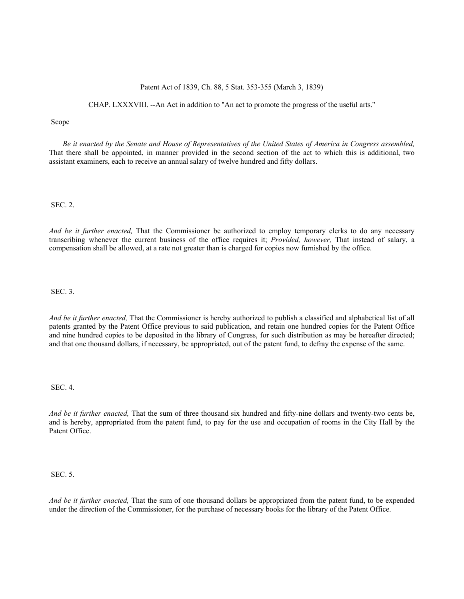## Patent Act of 1839, Ch. 88, 5 Stat. 353-355 (March 3, 1839)

CHAP. LXXXVIII. --An Act in addition to ''An act to promote the progress of the useful arts.''

## Scope

*Be it enacted by the Senate and House of Representatives of the United States of America in Congress assembled,* That there shall be appointed, in manner provided in the second section of the act to which this is additional, two assistant examiners, each to receive an annual salary of twelve hundred and fifty dollars.

SEC. 2.

*And be it further enacted,* That the Commissioner be authorized to employ temporary clerks to do any necessary transcribing whenever the current business of the office requires it; *Provided, however,* That instead of salary, a compensation shall be allowed, at a rate not greater than is charged for copies now furnished by the office.

SEC. 3.

*And be it further enacted,* That the Commissioner is hereby authorized to publish a classified and alphabetical list of all patents granted by the Patent Office previous to said publication, and retain one hundred copies for the Patent Office and nine hundred copies to be deposited in the library of Congress, for such distribution as may be hereafter directed; and that one thousand dollars, if necessary, be appropriated, out of the patent fund, to defray the expense of the same.

SEC. 4.

*And be it further enacted,* That the sum of three thousand six hundred and fifty-nine dollars and twenty-two cents be, and is hereby, appropriated from the patent fund, to pay for the use and occupation of rooms in the City Hall by the Patent Office.

SEC. 5.

*And be it further enacted,* That the sum of one thousand dollars be appropriated from the patent fund, to be expended under the direction of the Commissioner, for the purchase of necessary books for the library of the Patent Office.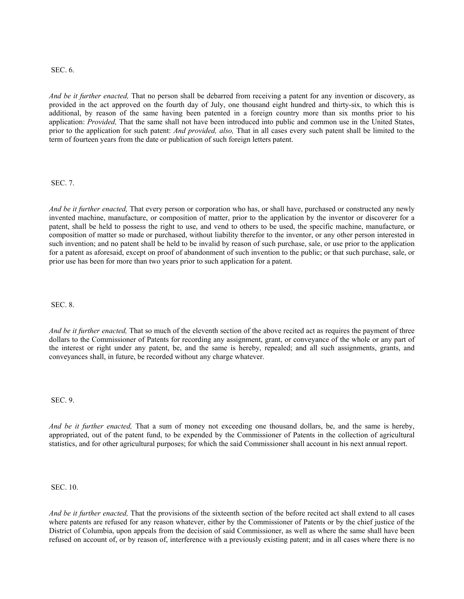## SEC. 6.

*And be it further enacted,* That no person shall be debarred from receiving a patent for any invention or discovery, as provided in the act approved on the fourth day of July, one thousand eight hundred and thirty-six, to which this is additional, by reason of the same having been patented in a foreign country more than six months prior to his application: *Provided,* That the same shall not have been introduced into public and common use in the United States, prior to the application for such patent: *And provided, also,* That in all cases every such patent shall be limited to the term of fourteen years from the date or publication of such foreign letters patent.

SEC. 7.

*And be it further enacted,* That every person or corporation who has, or shall have, purchased or constructed any newly invented machine, manufacture, or composition of matter, prior to the application by the inventor or discoverer for a patent, shall be held to possess the right to use, and vend to others to be used, the specific machine, manufacture, or composition of matter so made or purchased, without liability therefor to the inventor, or any other person interested in such invention; and no patent shall be held to be invalid by reason of such purchase, sale, or use prior to the application for a patent as aforesaid, except on proof of abandonment of such invention to the public; or that such purchase, sale, or prior use has been for more than two years prior to such application for a patent.

SEC. 8.

*And be it further enacted,* That so much of the eleventh section of the above recited act as requires the payment of three dollars to the Commissioner of Patents for recording any assignment, grant, or conveyance of the whole or any part of the interest or right under any patent, be, and the same is hereby, repealed; and all such assignments, grants, and conveyances shall, in future, be recorded without any charge whatever.

SEC. 9.

*And be it further enacted,* That a sum of money not exceeding one thousand dollars, be, and the same is hereby, appropriated, out of the patent fund, to be expended by the Commissioner of Patents in the collection of agricultural statistics, and for other agricultural purposes; for which the said Commissioner shall account in his next annual report.

SEC. 10.

*And be it further enacted,* That the provisions of the sixteenth section of the before recited act shall extend to all cases where patents are refused for any reason whatever, either by the Commissioner of Patents or by the chief justice of the District of Columbia, upon appeals from the decision of said Commissioner, as well as where the same shall have been refused on account of, or by reason of, interference with a previously existing patent; and in all cases where there is no